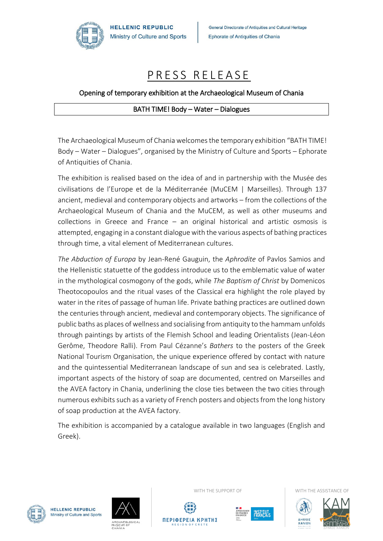

General Directorate of Antiquities and Cultural Heritage **Ephorate of Antiquities of Chania** 

## PRESS RELEASE

## Opening of temporary exhibition at the Archaeological Museum of Chania

## BΑΤΗ ΤΙΜΕ! Body – Water – Dialogues

The Archaeological Museum of Chania welcomes the temporary exhibition "BATH TIME! Body – Water – Dialogues", organised by the Ministry of Culture and Sports – Ephorate of Antiquities of Chania.

The exhibition is realised based on the idea of and in partnership with the Musée des civilisations de l'Europe et de la Méditerranée (MuCEM | Marseilles). Through 137 ancient, medieval and contemporary objects and artworks – from the collections of the Archaeological Museum of Chania and the MuCEM, as well as other museums and collections in Greece and France – an original historical and artistic osmosis is attempted, engaging in a constant dialogue with the various aspects of bathing practices through time, a vital element of Mediterranean cultures.

*The Abduction of Europa* by Jean-René Gauguin, the *Aphrodite* of Pavlos Samios and the Hellenistic statuette of the goddess introduce us to the emblematic value of water in the mythological cosmogony of the gods, while *The Baptism of Christ* by Domenicos Theotocopoulos and the ritual vases of the Classical era highlight the role played by water in the rites of passage of human life. Private bathing practices are outlined down the centuries through ancient, medieval and contemporary objects. The significance of public baths as places of wellness and socialising from antiquity to the hammam unfolds through paintings by artists of the Flemish School and leading Orientalists (Jean-Léon Gerôme, Theodore Ralli). From Paul Cézanne's *Bathers* to the posters of the Greek National Tourism Organisation, the unique experience offered by contact with nature and the quintessential Mediterranean landscape of sun and sea is celebrated. Lastly, important aspects of the history of soap are documented, centred on Marseilles and the AVEA factory in Chania, underlining the close ties between the two cities through numerous exhibits such as a variety of French posters and objects from the long history of soap production at the AVEA factory.

The exhibition is accompanied by a catalogue available in two languages (English and Greek).



**HELLENIC REPUBLIC** Ministry of Culture and Sports







WITH THE SUPPORT OF **WITH THE ASSISTANCE OF**